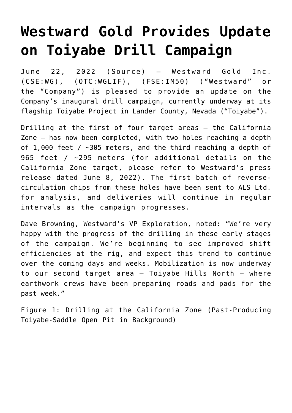## **[Westward Gold Provides Update](https://investorintel.com/markets/gold-silver-base-metals/gold-precious-metals-news/westward-gold-provides-update-on-toiyabe-drill-campaign/) [on Toiyabe Drill Campaign](https://investorintel.com/markets/gold-silver-base-metals/gold-precious-metals-news/westward-gold-provides-update-on-toiyabe-drill-campaign/)**

June 22, 2022 ([Source](https://www.thenewswire.com/press-releases/1L5PFZ5ry-westward-gold-provides-update-on-toiyabe-drill-campaign.html)) – Westward Gold Inc. (CSE:WG), (OTC:WGLIF), (FSE:IM50) ("Westward" or the "Company") is pleased to provide an update on the Company's inaugural drill campaign, currently underway at its flagship Toiyabe Project in Lander County, Nevada ("Toiyabe").

Drilling at the first of four target areas – the California Zone – has now been completed, with two holes reaching a depth of 1,000 feet /  $\sim$ 305 meters, and the third reaching a depth of 965 feet / ~295 meters (for additional details on the California Zone target, please refer to Westward's press release dated June 8, 2022). The first batch of reversecirculation chips from these holes have been sent to ALS Ltd. for analysis, and deliveries will continue in regular intervals as the campaign progresses.

Dave Browning, Westward's VP Exploration, noted: "We're very happy with the progress of the drilling in these early stages of the campaign. We're beginning to see improved shift efficiencies at the rig, and expect this trend to continue over the coming days and weeks. Mobilization is now underway to our second target area – Toiyabe Hills North – where earthwork crews have been preparing roads and pads for the past week."

Figure 1: Drilling at the California Zone (Past-Producing Toiyabe-Saddle Open Pit in Background)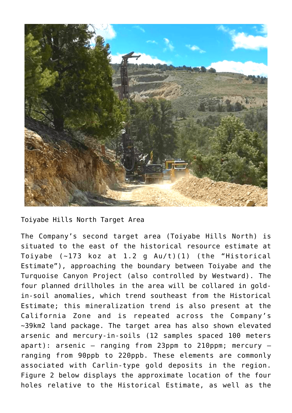

Toiyabe Hills North Target Area

The Company's second target area (Toiyabe Hills North) is situated to the east of the historical resource estimate at Toiyabe (~173 koz at 1.2 g Au/t)(1) (the "Historical Estimate"), approaching the boundary between Toiyabe and the Turquoise Canyon Project (also controlled by Westward). The four planned drillholes in the area will be collared in goldin-soil anomalies, which trend southeast from the Historical Estimate; this mineralization trend is also present at the California Zone and is repeated across the Company's ~39km2 land package. The target area has also shown elevated arsenic and mercury-in-soils (12 samples spaced 100 meters apart): arsenic – ranging from 23ppm to 210ppm; mercury – ranging from 90ppb to 220ppb. These elements are commonly associated with Carlin-type gold deposits in the region. Figure 2 below displays the approximate location of the four holes relative to the Historical Estimate, as well as the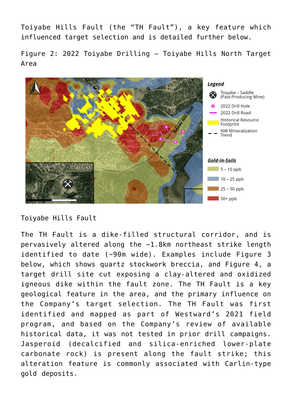Toiyabe Hills Fault (the "TH Fault"), a key feature which influenced target selection and is detailed further below.

Figure 2: 2022 Toiyabe Drilling – Toiyabe Hills North Target Area



Toiyabe Hills Fault

The TH Fault is a dike-filled structural corridor, and is pervasively altered along the ~1.8km northeast strike length identified to date (~90m wide). Examples include Figure 3 below, which shows quartz stockwork breccia, and Figure 4, a target drill site cut exposing a clay-altered and oxidized igneous dike within the fault zone. The TH Fault is a key geological feature in the area, and the primary influence on the Company's target selection. The TH Fault was first identified and mapped as part of Westward's 2021 field program, and based on the Company's review of available historical data, it was not tested in prior drill campaigns. Jasperoid (decalcified and silica-enriched lower-plate carbonate rock) is present along the fault strike; this alteration feature is commonly associated with Carlin-type gold deposits.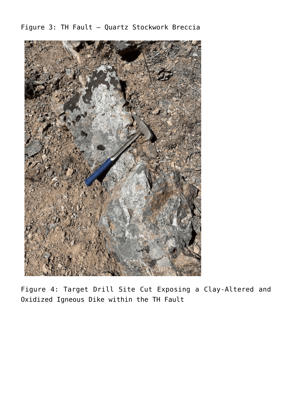Figure 3: TH Fault – Quartz Stockwork Breccia



Figure 4: Target Drill Site Cut Exposing a Clay-Altered and Oxidized Igneous Dike within the TH Fault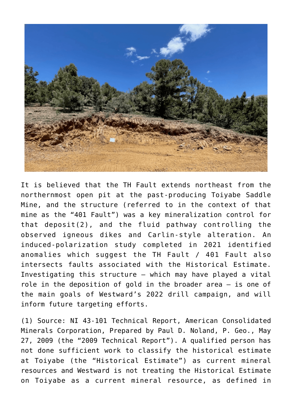

It is believed that the TH Fault extends northeast from the northernmost open pit at the past-producing Toiyabe Saddle Mine, and the structure (referred to in the context of that mine as the "401 Fault") was a key mineralization control for that deposit(2), and the fluid pathway controlling the observed igneous dikes and Carlin-style alteration. An induced-polarization study completed in 2021 identified anomalies which suggest the TH Fault / 401 Fault also intersects faults associated with the Historical Estimate. Investigating this structure – which may have played a vital role in the deposition of gold in the broader area – is one of the main goals of Westward's 2022 drill campaign, and will inform future targeting efforts.

(1) Source: NI 43-101 Technical Report, American Consolidated Minerals Corporation, Prepared by Paul D. Noland, P. Geo., May 27, 2009 (the "2009 Technical Report"). A qualified person has not done sufficient work to classify the historical estimate at Toiyabe (the "Historical Estimate") as current mineral resources and Westward is not treating the Historical Estimate on Toiyabe as a current mineral resource, as defined in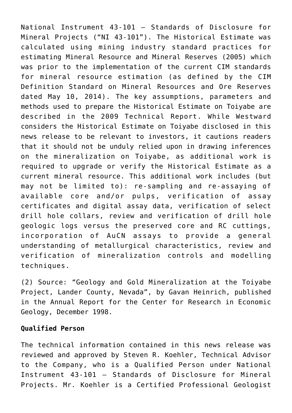National Instrument 43-101 – Standards of Disclosure for Mineral Projects ("NI 43-101"). The Historical Estimate was calculated using mining industry standard practices for estimating Mineral Resource and Mineral Reserves (2005) which was prior to the implementation of the current CIM standards for mineral resource estimation (as defined by the CIM Definition Standard on Mineral Resources and Ore Reserves dated May 10, 2014). The key assumptions, parameters and methods used to prepare the Historical Estimate on Toiyabe are described in the 2009 Technical Report. While Westward considers the Historical Estimate on Toiyabe disclosed in this news release to be relevant to investors, it cautions readers that it should not be unduly relied upon in drawing inferences on the mineralization on Toiyabe, as additional work is required to upgrade or verify the Historical Estimate as a current mineral resource. This additional work includes (but may not be limited to): re-sampling and re-assaying of available core and/or pulps, verification of assay certificates and digital assay data, verification of select drill hole collars, review and verification of drill hole geologic logs versus the preserved core and RC cuttings, incorporation of AuCN assays to provide a general understanding of metallurgical characteristics, review and verification of mineralization controls and modelling techniques.

(2) Source: "Geology and Gold Mineralization at the Toiyabe Project, Lander County, Nevada", by Gavan Heinrich, published in the Annual Report for the Center for Research in Economic Geology, December 1998.

## **Qualified Person**

The technical information contained in this news release was reviewed and approved by Steven R. Koehler, Technical Advisor to the Company, who is a Qualified Person under National Instrument 43-101 – Standards of Disclosure for Mineral Projects. Mr. Koehler is a Certified Professional Geologist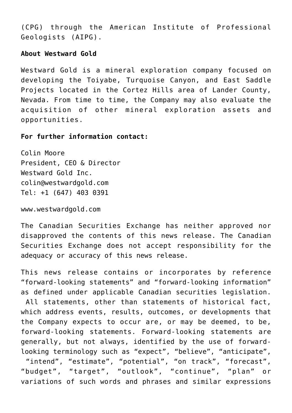(CPG) through the American Institute of Professional Geologists (AIPG).

## **About Westward Gold**

Westward Gold is a mineral exploration company focused on developing the Toiyabe, Turquoise Canyon, and East Saddle Projects located in the Cortez Hills area of Lander County, Nevada. From time to time, the Company may also evaluate the acquisition of other mineral exploration assets and opportunities.

## **For further information contact:**

Colin Moore President, CEO & Director Westward Gold Inc. colin@westwardgold.com Tel: +1 (647) 403 0391

www.westwardgold.com

The Canadian Securities Exchange has neither approved nor disapproved the contents of this news release. The Canadian Securities Exchange does not accept responsibility for the adequacy or accuracy of this news release.

This news release contains or incorporates by reference "forward-looking statements" and "forward-looking information" as defined under applicable Canadian securities legislation. All statements, other than statements of historical fact, which address events, results, outcomes, or developments that the Company expects to occur are, or may be deemed, to be, forward-looking statements. Forward-looking statements are generally, but not always, identified by the use of forwardlooking terminology such as "expect", "believe", "anticipate", "intend", "estimate", "potential", "on track", "forecast", "budget", "target", "outlook", "continue", "plan" or variations of such words and phrases and similar expressions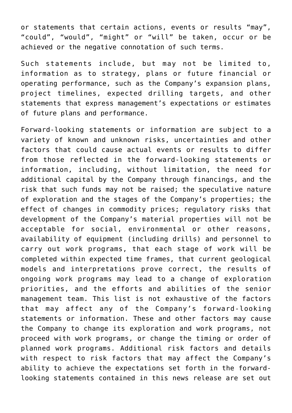or statements that certain actions, events or results "may", "could", "would", "might" or "will" be taken, occur or be achieved or the negative connotation of such terms.

Such statements include, but may not be limited to, information as to strategy, plans or future financial or operating performance, such as the Company's expansion plans, project timelines, expected drilling targets, and other statements that express management's expectations or estimates of future plans and performance.

Forward-looking statements or information are subject to a variety of known and unknown risks, uncertainties and other factors that could cause actual events or results to differ from those reflected in the forward-looking statements or information, including, without limitation, the need for additional capital by the Company through financings, and the risk that such funds may not be raised; the speculative nature of exploration and the stages of the Company's properties; the effect of changes in commodity prices; regulatory risks that development of the Company's material properties will not be acceptable for social, environmental or other reasons, availability of equipment (including drills) and personnel to carry out work programs, that each stage of work will be completed within expected time frames, that current geological models and interpretations prove correct, the results of ongoing work programs may lead to a change of exploration priorities, and the efforts and abilities of the senior management team. This list is not exhaustive of the factors that may affect any of the Company's forward-looking statements or information. These and other factors may cause the Company to change its exploration and work programs, not proceed with work programs, or change the timing or order of planned work programs. Additional risk factors and details with respect to risk factors that may affect the Company's ability to achieve the expectations set forth in the forwardlooking statements contained in this news release are set out